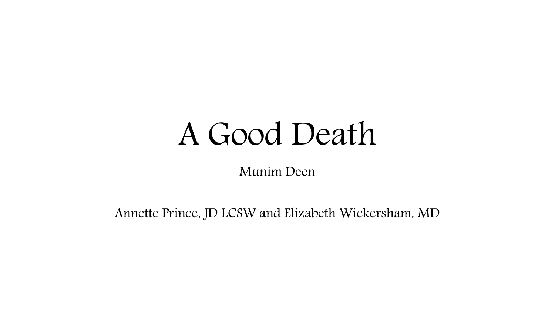## A Good Death

Munim Deen

Annette Prince, JD LCSW and Elizabeth Wickersham, MD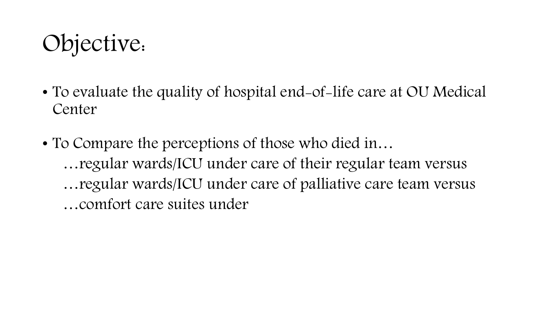### Objective:

- To evaluate the quality of hospital end-of-life care at OU Medical Center
- To Compare the perceptions of those who died in... …regular wards/ICU under care of their regular team versus …regular wards/ICU under care of palliative care team versus …comfort care suites under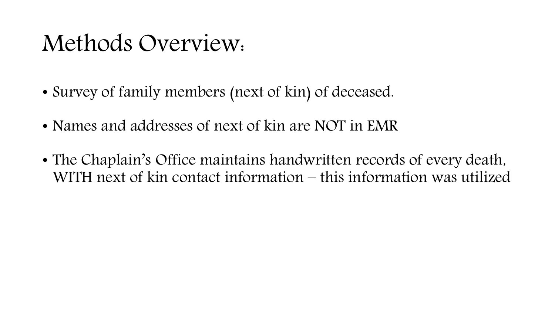#### Methods Overview:

- Survey of family members (next of kin) of deceased.
- Names and addresses of next of kin are NOT in EMR
- The Chaplain's Office maintains handwritten records of every death, WITH next of kin contact information – this information was utilized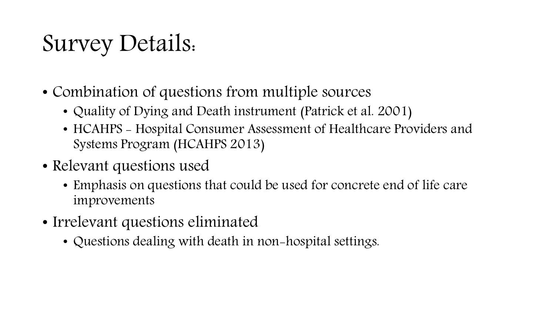### Survey Details:

- Combination of questions from multiple sources
	- Quality of Dying and Death instrument (Patrick et al. 2001)
	- HCAHPS Hospital Consumer Assessment of Healthcare Providers and Systems Program (HCAHPS 2013)
- Relevant questions used
	- Emphasis on questions that could be used for concrete end of life care improvements
- Irrelevant questions eliminated
	- Questions dealing with death in non-hospital settings.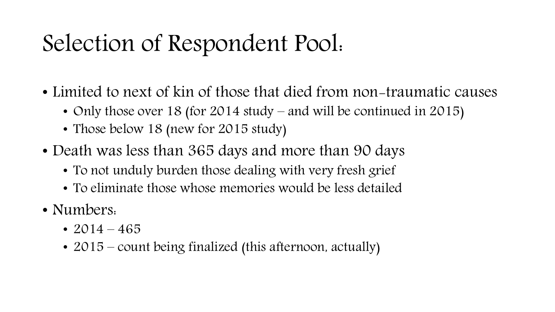### Selection of Respondent Pool:

- Limited to next of kin of those that died from non-traumatic causes
	- Only those over 18 (for 2014 study and will be continued in 2015)
	- Those below 18 (new for 2015 study)
- Death was less than 365 days and more than 90 days
	- To not unduly burden those dealing with very fresh grief
	- To eliminate those whose memories would be less detailed
- Numbers.
	- 2014 465
	- 2015 count being finalized (this afternoon, actually)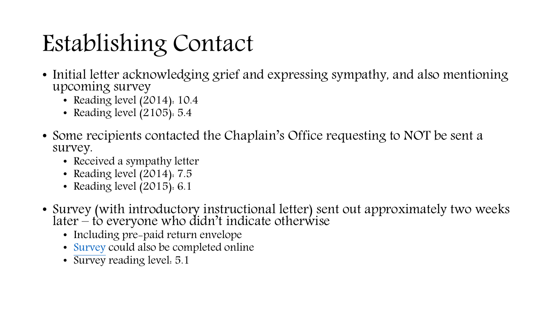## Establishing Contact

- Initial letter acknowledging grief and expressing sympathy, and also mentioning upcoming survey
	- Reading level (2014): 10.4
	- Reading level  $(2105)$ : 5.4
- Some recipients contacted the Chaplain's Office requesting to NOT be sent a survey.
	- Received a sympathy letter
	- Reading level (2014): 7.5
	- Reading level (2015): 6.1
- Survey (with introductory instructional letter) sent out approximately two weeks later – to everyone who didn't indicate otherwise
	- Including pre-paid return envelope
	- [Survey](https://ouhsc.qualtrics.com/jfe/form/SV_6hs6IlbLrG2B1Gd) could also be completed online
	- Survey reading level: 5.1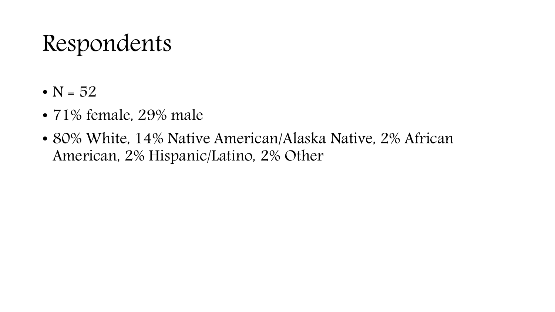#### Respondents

- $N = 52$
- 71% female, 29% male
- 80% White, 14% Native American/Alaska Native, 2% African American, 2% Hispanic/Latino, 2% Other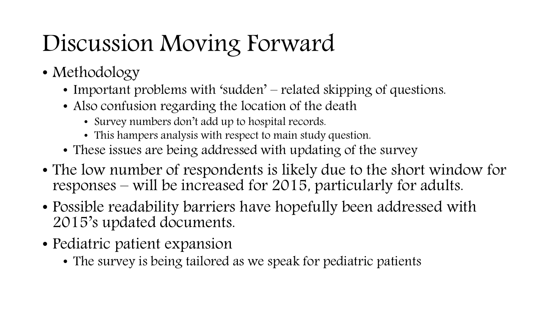## Discussion Moving Forward

- Methodology
	- Important problems with 'sudden' related skipping of questions.
	- Also confusion regarding the location of the death
		- Survey numbers don't add up to hospital records.
		- This hampers analysis with respect to main study question.
	- These issues are being addressed with updating of the survey
- The low number of respondents is likely due to the short window for responses – will be increased for 2015, particularly for adults.
- Possible readability barriers have hopefully been addressed with 2015's updated documents.
- Pediatric patient expansion
	- The survey is being tailored as we speak for pediatric patients